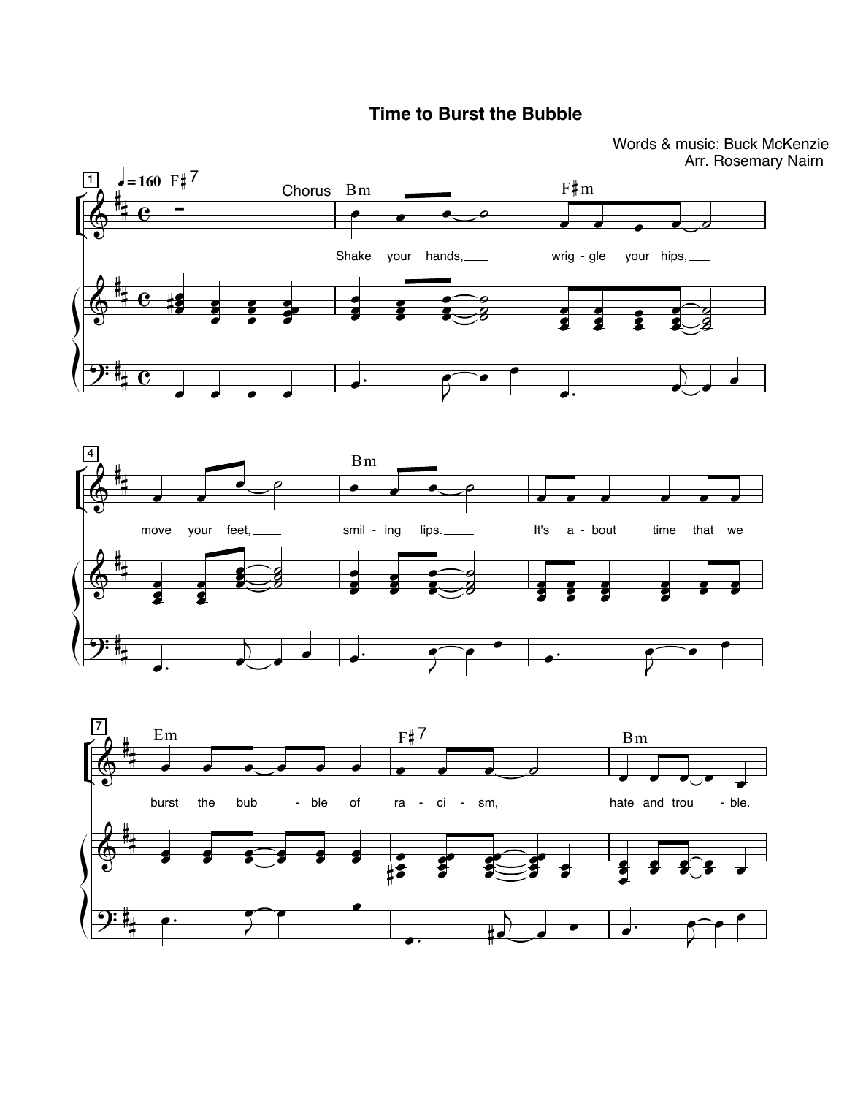## **Time to Burst the Bubble**

Words & music: Buck McKenzie Arr. Rosemary Nairn

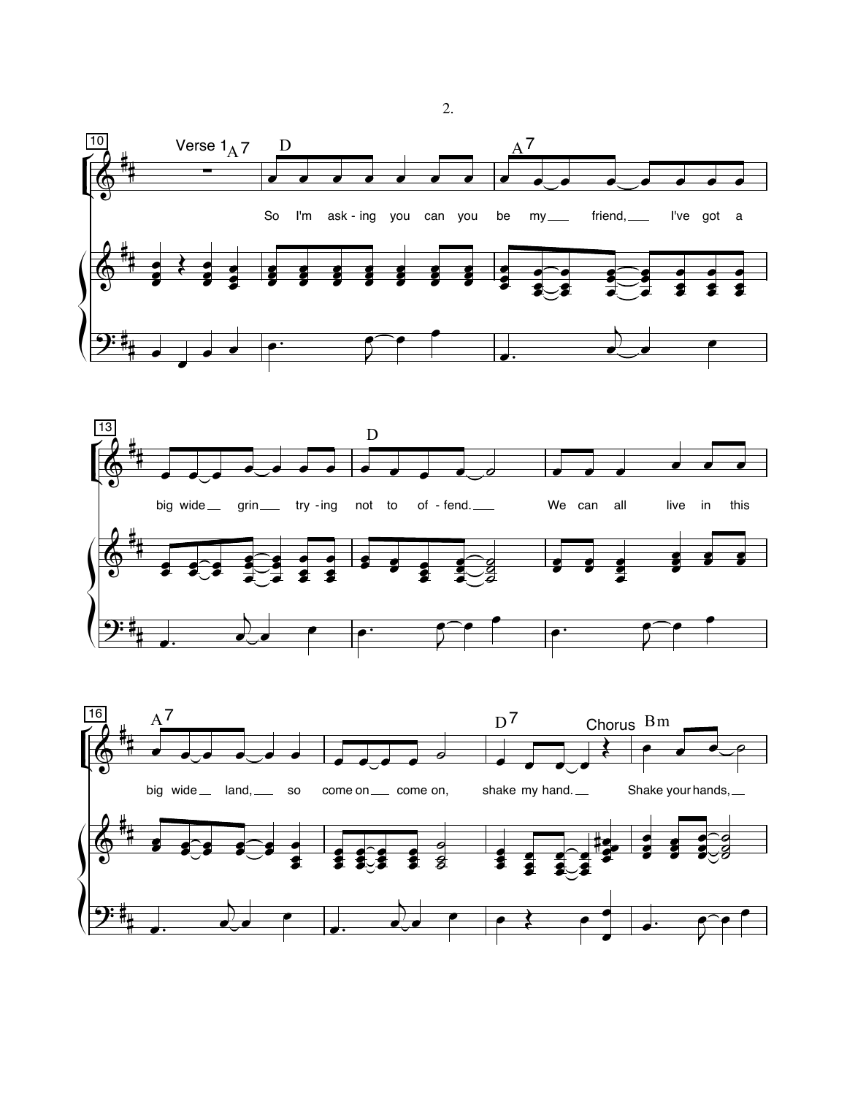





 $\overline{2}$ .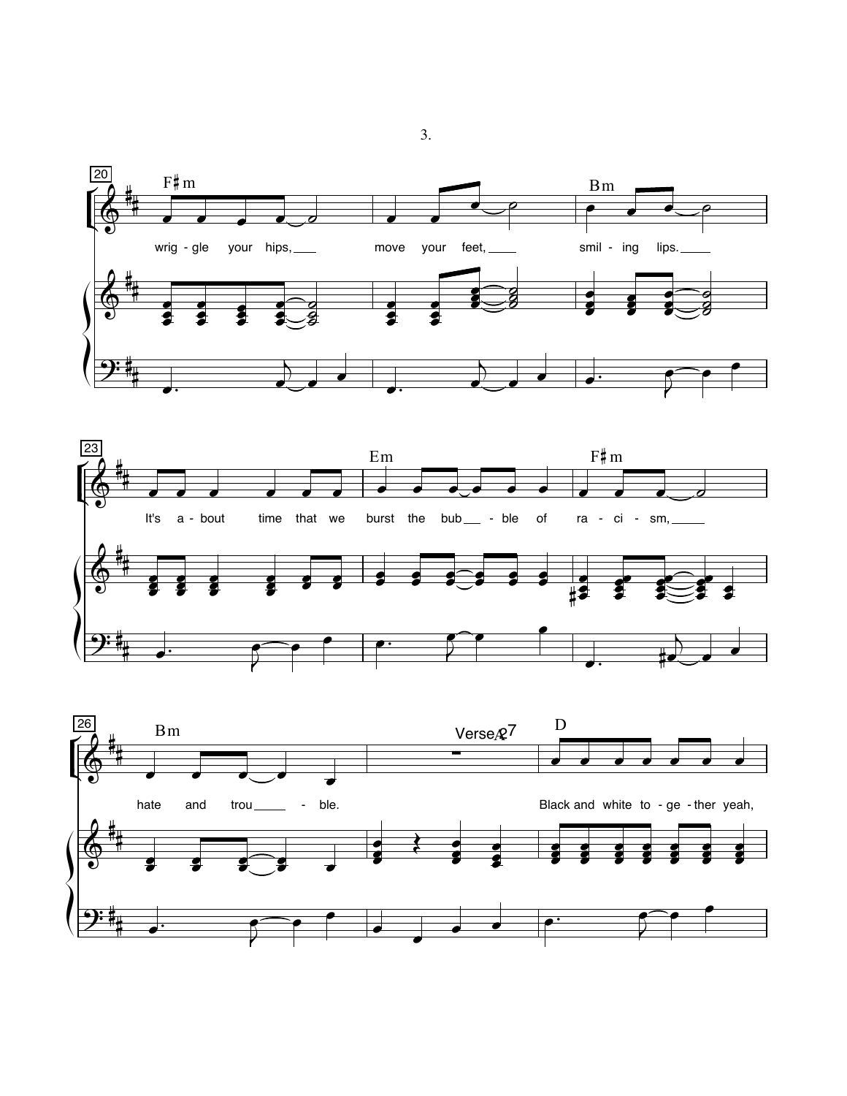



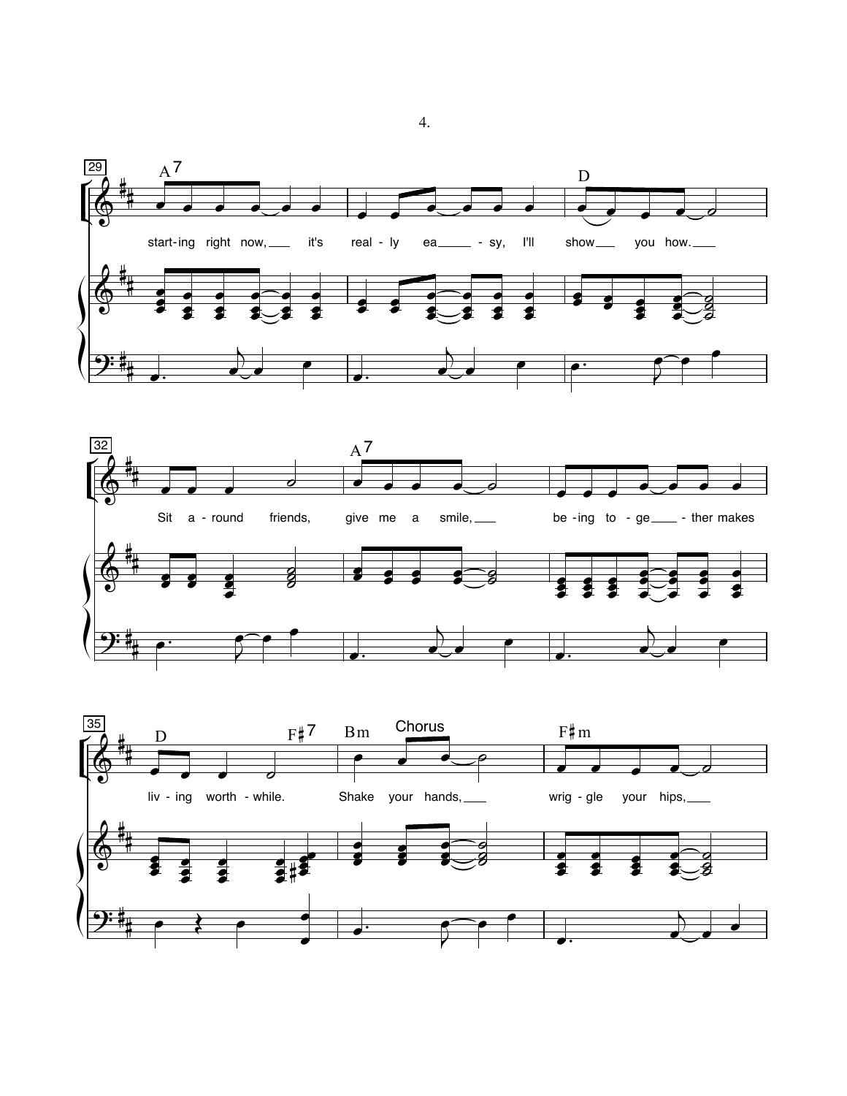



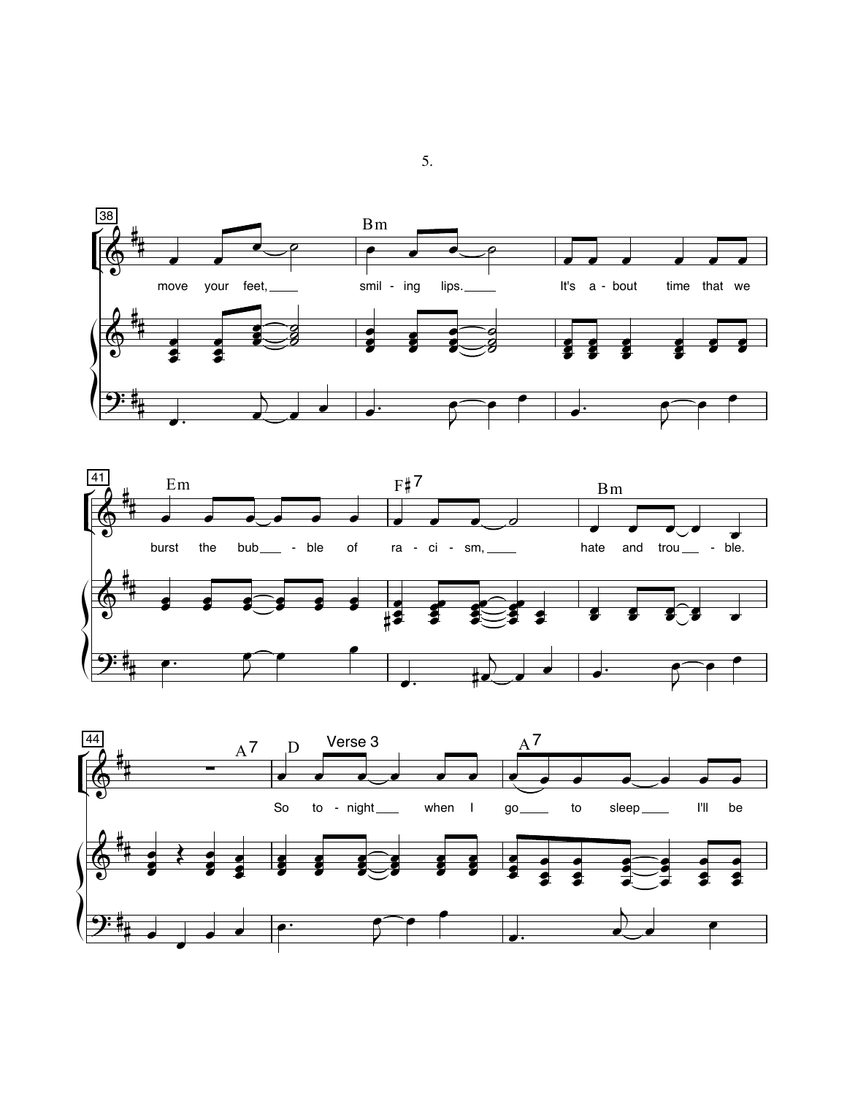



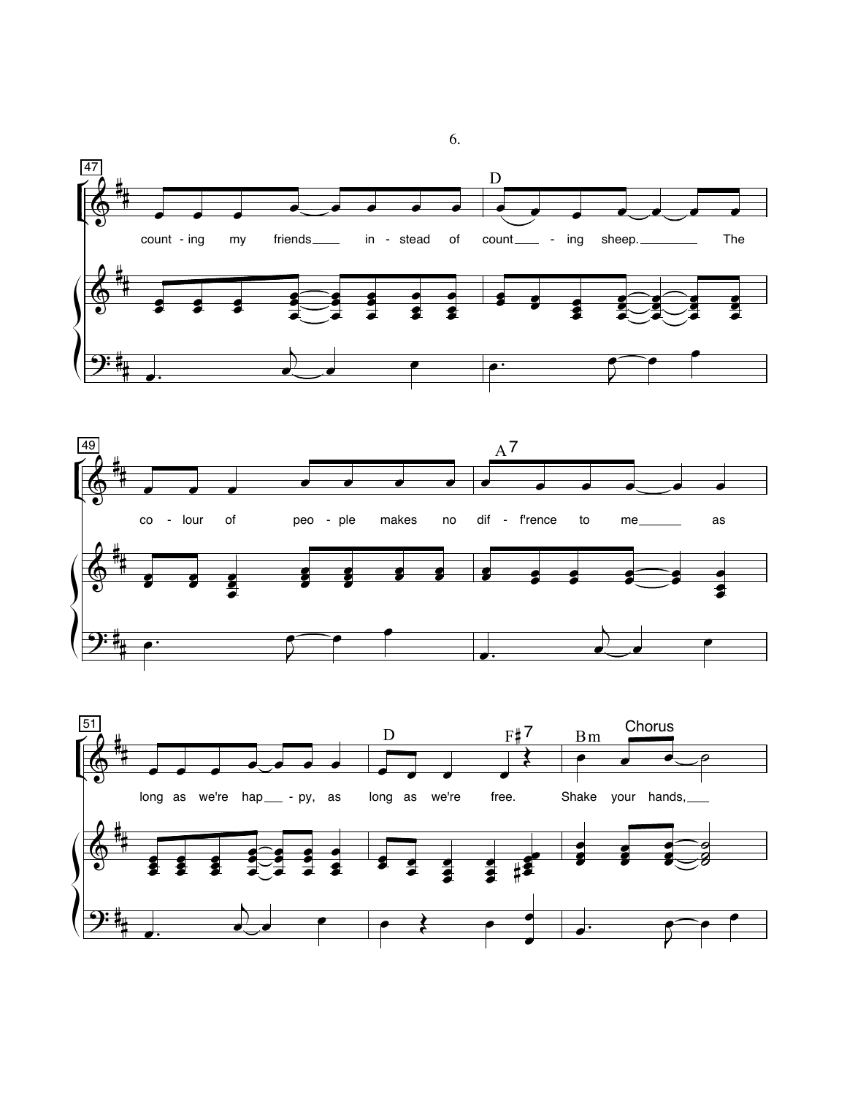



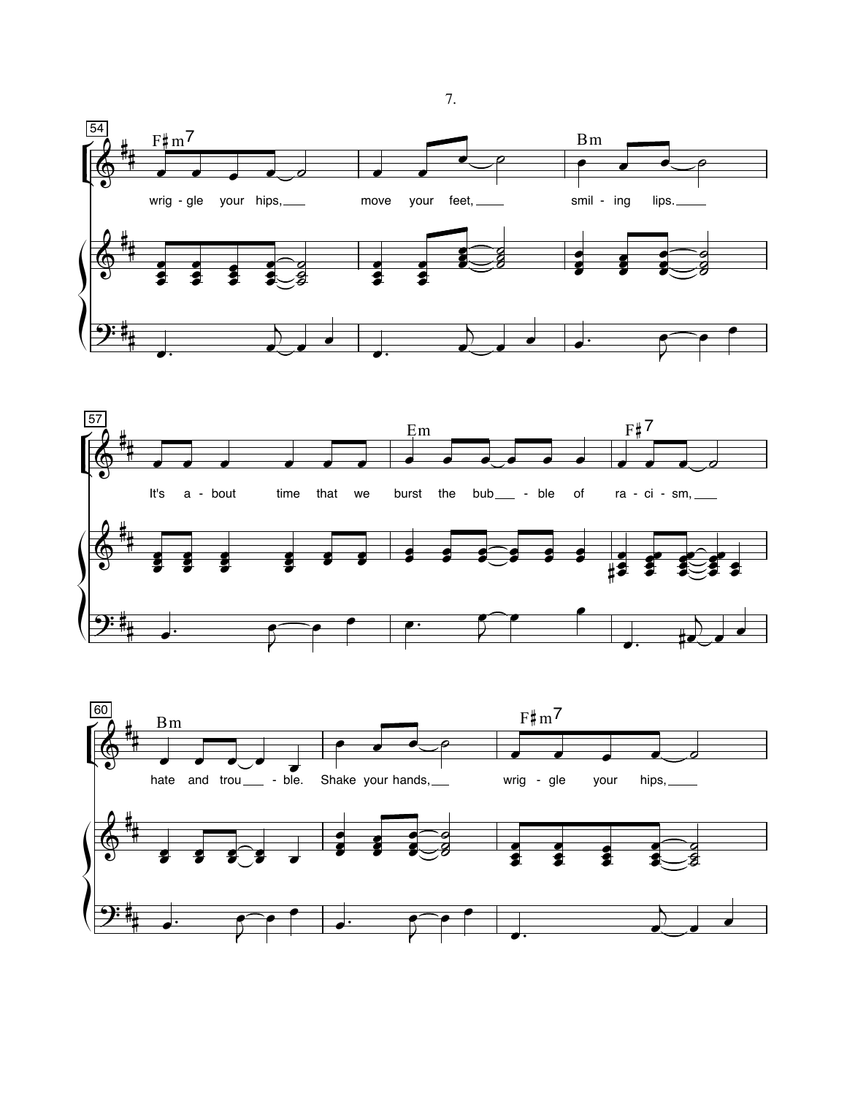